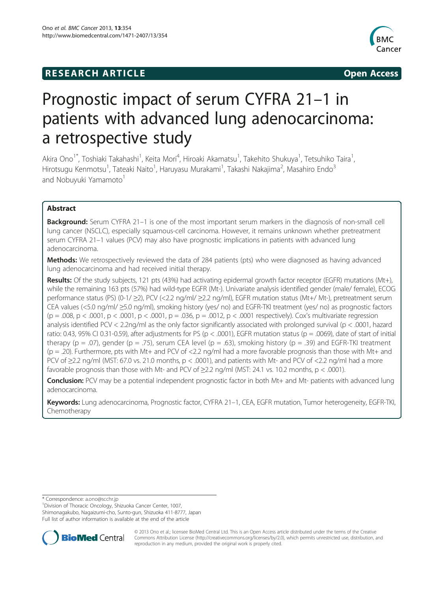## **RESEARCH ARTICLE Example 2014 12:30 The SEAR CHA RESEARCH ARTICLE**



# Prognostic impact of serum CYFRA 21–1 in patients with advanced lung adenocarcinoma: a retrospective study

Akira Ono<sup>1\*</sup>, Toshiaki Takahashi<sup>1</sup>, Keita Mori<sup>4</sup>, Hiroaki Akamatsu<sup>1</sup>, Takehito Shukuya<sup>1</sup>, Tetsuhiko Taira<sup>1</sup> , Hirotsugu Kenmotsu<sup>1</sup>, Tateaki Naito<sup>1</sup>, Haruyasu Murakami<sup>1</sup>, Takashi Nakajima<sup>2</sup>, Masahiro Endo<sup>3</sup> and Nobuyuki Yamamoto<sup>1</sup>

## Abstract

Background: Serum CYFRA 21-1 is one of the most important serum markers in the diagnosis of non-small cell lung cancer (NSCLC), especially squamous-cell carcinoma. However, it remains unknown whether pretreatment serum CYFRA 21–1 values (PCV) may also have prognostic implications in patients with advanced lung adenocarcinoma.

Methods: We retrospectively reviewed the data of 284 patients (pts) who were diagnosed as having advanced lung adenocarcinoma and had received initial therapy.

Results: Of the study subjects, 121 pts (43%) had activating epidermal growth factor receptor (EGFR) mutations (Mt+), while the remaining 163 pts (57%) had wild-type EGFR (Mt-). Univariate analysis identified gender (male/ female), ECOG performance status (PS) (0-1/ ≥2), PCV (<2.2 ng/ml/ ≥2.2 ng/ml), EGFR mutation status (Mt+/ Mt-), pretreatment serum CEA values (<5.0 ng/ml/ ≥5.0 ng/ml), smoking history (yes/ no) and EGFR-TKI treatment (yes/ no) as prognostic factors  $(p = .008, p < .0001, p < .0001, p < .0001, p = .036, p = .0012, p < .0001$  respectively). Cox's multivariate regression analysis identified PCV < 2.2ng/ml as the only factor significantly associated with prolonged survival (p < .0001, hazard ratio: 0.43, 95% CI 0.31-0.59), after adjustments for PS ( $p < .0001$ ), EGFR mutation status ( $p = .0069$ ), date of start of initial therapy (p = .07), gender (p = .75), serum CEA level (p = .63), smoking history (p = .39) and EGFR-TKI treatment  $(p = .20)$ . Furthermore, pts with Mt+ and PCV of <2.2 ng/ml had a more favorable prognosis than those with Mt+ and PCV of ≥2.2 ng/ml (MST: 67.0 vs. 21.0 months, p < .0001), and patients with Mt- and PCV of <2.2 ng/ml had a more favorable prognosis than those with Mt- and PCV of  $\geq$ 2.2 ng/ml (MST: 24.1 vs. 10.2 months, p < .0001).

Conclusion: PCV may be a potential independent prognostic factor in both Mt+ and Mt- patients with advanced lung adenocarcinoma.

Keywords: Lung adenocarcinoma, Prognostic factor, CYFRA 21-1, CEA, EGFR mutation, Tumor heterogeneity, EGFR-TKI, Chemotherapy

\* Correspondence: [a.ono@scchr.jp](mailto:a.ono@scchr.jp) <sup>1</sup>

<sup>1</sup> Division of Thoracic Oncology, Shizuoka Cancer Center, 1007,

Shimonagakubo, Nagaizumi-cho, Sunto-gun, Shizuoka 411-8777, Japan

Full list of author information is available at the end of the article



© 2013 Ono et al.; licensee BioMed Central Ltd. This is an Open Access article distributed under the terms of the Creative Commons Attribution License [\(http://creativecommons.org/licenses/by/2.0\)](http://creativecommons.org/licenses/by/2.0), which permits unrestricted use, distribution, and reproduction in any medium, provided the original work is properly cited.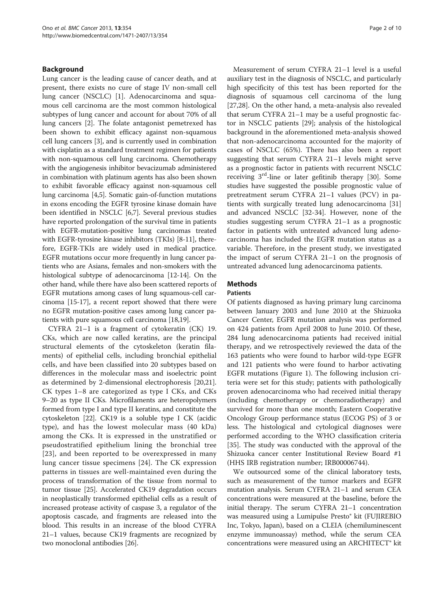## Background

Lung cancer is the leading cause of cancer death, and at present, there exists no cure of stage IV non-small cell lung cancer (NSCLC) [[1\]](#page-7-0). Adenocarcinoma and squamous cell carcinoma are the most common histological subtypes of lung cancer and account for about 70% of all lung cancers [[2\]](#page-7-0). The folate antagonist pemetrexed has been shown to exhibit efficacy against non-squamous cell lung cancers [\[3](#page-7-0)], and is currently used in combination with cisplatin as a standard treatment regimen for patients with non-squamous cell lung carcinoma. Chemotherapy with the angiogenesis inhibitor bevacizumab administered in combination with platinum agents has also been shown to exhibit favorable efficacy against non-squamous cell lung carcinoma [\[4,5\]](#page-7-0). Somatic gain-of-function mutations in exons encoding the EGFR tyrosine kinase domain have been identified in NSCLC [\[6,7](#page-7-0)]. Several previous studies have reported prolongation of the survival time in patients with EGFR-mutation-positive lung carcinomas treated with EGFR-tyrosine kinase inhibitors (TKIs) [\[8](#page-7-0)-[11](#page-7-0)], therefore, EGFR-TKIs are widely used in medical practice. EGFR mutations occur more frequently in lung cancer patients who are Asians, females and non-smokers with the histological subtype of adenocarcinoma [[12](#page-7-0)-[14\]](#page-8-0). On the other hand, while there have also been scattered reports of EGFR mutations among cases of lung squamous-cell carcinoma [[15](#page-8-0)-[17](#page-8-0)], a recent report showed that there were no EGFR mutation-positive cases among lung cancer patients with pure squamous cell carcinoma [\[18,19](#page-8-0)].

CYFRA 21–1 is a fragment of cytokeratin (CK) 19. CKs, which are now called keratins, are the principal structural elements of the cytoskeleton (keratin filaments) of epithelial cells, including bronchial epithelial cells, and have been classified into 20 subtypes based on differences in the molecular mass and isoelectric point as determined by 2-dimensional electrophoresis [\[20,21](#page-8-0)]. CK types 1–8 are categorized as type I CKs, and CKs 9–20 as type II CKs. Microfilaments are heteropolymers formed from type I and type II keratins, and constitute the cytoskeleton [[22](#page-8-0)]. CK19 is a soluble type I CK (acidic type), and has the lowest molecular mass (40 kDa) among the CKs. It is expressed in the unstratified or pseudostratified epithelium lining the bronchial tree [[23](#page-8-0)], and been reported to be overexpressed in many lung cancer tissue specimens [[24\]](#page-8-0). The CK expression patterns in tissues are well-maintained even during the process of transformation of the tissue from normal to tumor tissue [[25](#page-8-0)]. Accelerated CK19 degradation occurs in neoplastically transformed epithelial cells as a result of increased protease activity of caspase 3, a regulator of the apoptosis cascade, and fragments are released into the blood. This results in an increase of the blood CYFRA 21–1 values, because CK19 fragments are recognized by two monoclonal antibodies [[26](#page-8-0)].

Measurement of serum CYFRA 21–1 level is a useful auxiliary test in the diagnosis of NSCLC, and particularly high specificity of this test has been reported for the diagnosis of squamous cell carcinoma of the lung [[27,28\]](#page-8-0). On the other hand, a meta-analysis also revealed that serum CYFRA 21–1 may be a useful prognostic factor in NSCLC patients [\[29](#page-8-0)]; analysis of the histological background in the aforementioned meta-analysis showed that non-adenocarcinoma accounted for the majority of cases of NSCLC (65%). There has also been a report suggesting that serum CYFRA 21–1 levels might serve as a prognostic factor in patients with recurrent NSCLC receiving 3rd-line or later gefitinib therapy [[30\]](#page-8-0). Some studies have suggested the possible prognostic value of pretreatment serum CYFRA 21–1 values (PCV) in patients with surgically treated lung adenocarcinoma [[31](#page-8-0)] and advanced NSCLC [[32-34\]](#page-8-0). However, none of the studies suggesting serum CYFRA 21–1 as a prognostic factor in patients with untreated advanced lung adenocarcinoma has included the EGFR mutation status as a variable. Therefore, in the present study, we investigated the impact of serum CYFRA 21–1 on the prognosis of untreated advanced lung adenocarcinoma patients.

## **Methods**

## Patients

Of patients diagnosed as having primary lung carcinoma between January 2003 and June 2010 at the Shizuoka Cancer Center, EGFR mutation analysis was performed on 424 patients from April 2008 to June 2010. Of these, 284 lung adenocarcinoma patients had received initial therapy, and we retrospectively reviewed the data of the 163 patients who were found to harbor wild-type EGFR and 121 patients who were found to harbor activating EGFR mutations (Figure [1](#page-2-0)). The following inclusion criteria were set for this study; patients with pathologically proven adenocarcinoma who had received initial therapy (including chemotherapy or chemoradiotherapy) and survived for more than one month; Eastern Cooperative Oncology Group performance status (ECOG PS) of 3 or less. The histological and cytological diagnoses were performed according to the WHO classification criteria [[35\]](#page-8-0). The study was conducted with the approval of the Shizuoka cancer center Institutional Review Board #1 (HHS IRB registration number; IRB00006744).

We outsourced some of the clinical laboratory tests, such as measurement of the tumor markers and EGFR mutation analysis. Serum CYFRA 21–1 and serum CEA concentrations were measured at the baseline, before the initial therapy. The serum CYFRA 21–1 concentration was measured using a Lumipulse Presto® kit (FUJIREBIO Inc, Tokyo, Japan), based on a CLEIA (chemiluminescent enzyme immunoassay) method, while the serum CEA concentrations were measured using an ARCHITECT® kit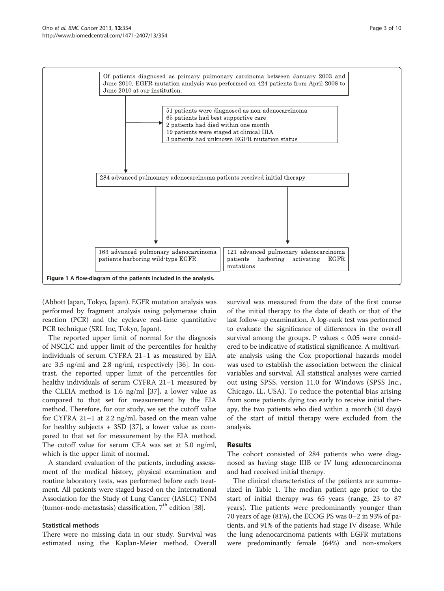<span id="page-2-0"></span>

(Abbott Japan, Tokyo, Japan). EGFR mutation analysis was performed by fragment analysis using polymerase chain reaction (PCR) and the cycleave real-time quantitative PCR technique (SRL Inc, Tokyo, Japan).

The reported upper limit of normal for the diagnosis of NSCLC and upper limit of the percentiles for healthy individuals of serum CYFRA 21–1 as measured by EIA are 3.5 ng/ml and 2.8 ng/ml, respectively [[36\]](#page-8-0). In contrast, the reported upper limit of the percentiles for healthy individuals of serum CYFRA 21–1 measured by the CLEIA method is 1.6 ng/ml [\[37\]](#page-8-0), a lower value as compared to that set for measurement by the EIA method. Therefore, for our study, we set the cutoff value for CYFRA 21–1 at 2.2 ng/ml, based on the mean value for healthy subjects + 3SD [[37\]](#page-8-0), a lower value as compared to that set for measurement by the EIA method. The cutoff value for serum CEA was set at 5.0 ng/ml, which is the upper limit of normal.

A standard evaluation of the patients, including assessment of the medical history, physical examination and routine laboratory tests, was performed before each treatment. All patients were staged based on the International Association for the Study of Lung Cancer (IASLC) TNM (tumor-node-metastasis) classification,  $7<sup>th</sup>$  edition [[38](#page-8-0)].

## Statistical methods

There were no missing data in our study. Survival was estimated using the Kaplan-Meier method. Overall

survival was measured from the date of the first course of the initial therapy to the date of death or that of the last follow-up examination. A log-rank test was performed to evaluate the significance of differences in the overall survival among the groups. P values  $< 0.05$  were considered to be indicative of statistical significance. A multivariate analysis using the Cox proportional hazards model was used to establish the association between the clinical variables and survival. All statistical analyses were carried out using SPSS, version 11.0 for Windows (SPSS Inc., Chicago, IL, USA). To reduce the potential bias arising from some patients dying too early to receive initial therapy, the two patients who died within a month (30 days) of the start of initial therapy were excluded from the analysis.

## Results

The cohort consisted of 284 patients who were diagnosed as having stage IIIB or IV lung adenocarcinoma and had received initial therapy.

The clinical characteristics of the patients are summarized in Table [1.](#page-3-0) The median patient age prior to the start of initial therapy was 65 years (range, 23 to 87 years). The patients were predominantly younger than 70 years of age (81%), the ECOG PS was 0–2 in 93% of patients, and 91% of the patients had stage IV disease. While the lung adenocarcinoma patients with EGFR mutations were predominantly female (64%) and non-smokers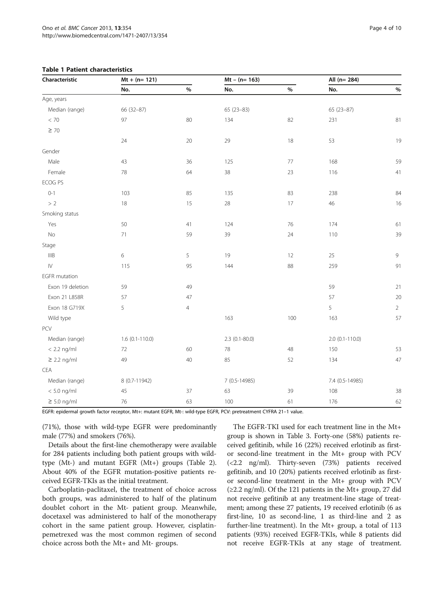| Characteristic       | $Mt + (n = 121)$  |                | $Mt - (n = 163)$ |      | All (n= 284)        |                |
|----------------------|-------------------|----------------|------------------|------|---------------------|----------------|
|                      | No.               | $\%$           | No.              | $\%$ | No.                 | $\%$           |
| Age, years           |                   |                |                  |      |                     |                |
| Median (range)       | 66 (32-87)        |                | 65 (23-83)       |      | 65 (23-87)          |                |
| $< 70\,$             | 97                | 80             | 134              | 82   | 231                 | 81             |
| $\geq 70$            |                   |                |                  |      |                     |                |
|                      | 24                | 20             | 29               | 18   | 53                  | 19             |
| Gender               |                   |                |                  |      |                     |                |
| Male                 | 43                | 36             | 125              | $77$ | 168                 | 59             |
| Female               | 78                | 64             | 38               | 23   | 116                 | 41             |
| ECOG PS              |                   |                |                  |      |                     |                |
| $0 - 1$              | 103               | 85             | 135              | 83   | 238                 | 84             |
| $>2$                 | 18                | 15             | 28               | 17   | 46                  | 16             |
| Smoking status       |                   |                |                  |      |                     |                |
| Yes                  | 50                | 41             | 124              | 76   | 174                 | 61             |
| No                   | 71                | 59             | 39               | 24   | 110                 | 39             |
| Stage                |                   |                |                  |      |                     |                |
| IIIB                 | $\,$ 6 $\,$       | 5              | 19               | 12   | 25                  | 9              |
| $\mathsf{IV}$        | 115               | 95             | 144              | 88   | 259                 | 91             |
| <b>EGFR</b> mutation |                   |                |                  |      |                     |                |
| Exon 19 deletion     | 59                | 49             |                  |      | 59                  | 21             |
| Exon 21 L858R        | 57                | 47             |                  |      | 57                  | 20             |
| Exon 18 G719X        | 5                 | $\overline{4}$ |                  |      | 5                   | $\overline{2}$ |
| Wild type            |                   |                | 163              | 100  | 163                 | 57             |
| PCV                  |                   |                |                  |      |                     |                |
| Median (range)       | $1.6$ (0.1-110.0) |                | $2.3$ (0.1-80.0) |      | $2.0 (0.1 - 110.0)$ |                |
| $< 2.2$ ng/ml        | 72                | 60             | $78\,$           | 48   | 150                 | 53             |
| $\geq$ 2.2 ng/ml     | 49                | 40             | 85               | 52   | 134                 | 47             |
| CEA                  |                   |                |                  |      |                     |                |
| Median (range)       | 8 (0.7-11942)     |                | 7 (0.5-14985)    |      | 7.4 (0.5-14985)     |                |
| $< 5.0$ ng/ml        | 45                | 37             | 63               | 39   | 108                 | 38             |
| $\geq$ 5.0 ng/ml     | 76                | 63             | 100              | 61   | 176                 | 62             |

## <span id="page-3-0"></span>Table 1 Patient characteristics

EGFR: epidermal growth factor receptor, Mt+: mutant EGFR, Mt-: wild-type EGFR, PCV: pretreatment CYFRA 21–1 value.

(71%), those with wild-type EGFR were predominantly male (77%) and smokers (76%).

Details about the first-line chemotherapy were available for 284 patients including both patient groups with wildtype (Mt-) and mutant EGFR (Mt+) groups (Table [2](#page-4-0)). About 40% of the EGFR mutation-positive patients received EGFR-TKIs as the initial treatment.

Carboplatin-paclitaxel, the treatment of choice across both groups, was administered to half of the platinum doublet cohort in the Mt- patient group. Meanwhile, docetaxel was administered to half of the monotherapy cohort in the same patient group. However, cisplatinpemetrexed was the most common regimen of second choice across both the Mt+ and Mt- groups.

The EGFR-TKI used for each treatment line in the Mt+ group is shown in Table [3](#page-4-0). Forty-one (58%) patients received gefitinib, while 16 (22%) received erlotinib as firstor second-line treatment in the Mt+ group with PCV (<2.2 ng/ml). Thirty-seven (73%) patients received gefitinib, and 10 (20%) patients received erlotinib as firstor second-line treatment in the Mt+ group with PCV  $(\geq 2.2 \text{ ng/ml})$ . Of the 121 patients in the Mt+ group, 27 did not receive gefitinib at any treatment-line stage of treatment; among these 27 patients, 19 received erlotinib (6 as first-line, 10 as second-line, 1 as third-line and 2 as further-line treatment). In the Mt+ group, a total of 113 patients (93%) received EGFR-TKIs, while 8 patients did not receive EGFR-TKIs at any stage of treatment.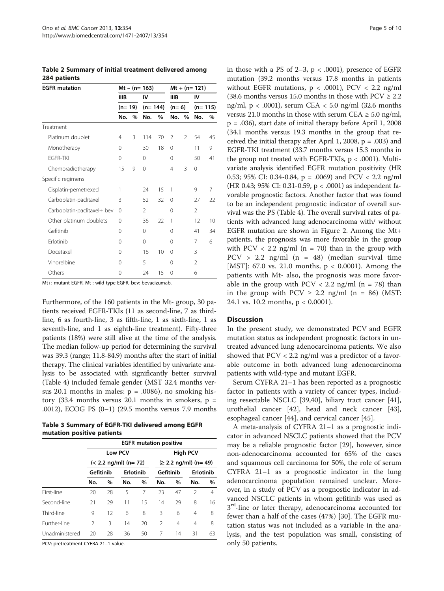<span id="page-4-0"></span>Table 2 Summary of initial treatment delivered among 284 patients

| <b>EGFR</b> mutation        | Mt – (n= 163) |          |     |           | $Mt + (n = 121)$ |                |                |           |  |
|-----------------------------|---------------|----------|-----|-----------|------------------|----------------|----------------|-----------|--|
|                             | <b>IIIB</b>   |          | IV  |           | <b>IIIB</b>      |                | IV             |           |  |
|                             |               | $(n=19)$ |     | $(n=144)$ |                  | $(n=6)$        |                | $(n=115)$ |  |
|                             | No.           | $\%$     | No. | $\%$      | No.              | $\%$           | No.            | $\%$      |  |
| Treatment                   |               |          |     |           |                  |                |                |           |  |
| Platinum doublet            | 4             | 3        | 114 | 70        | $\mathfrak{D}$   | $\mathfrak{D}$ | 54             | 45        |  |
| Monotherapy                 | 0             |          | 30  | 18        | $\Omega$         |                | 11             | 9         |  |
| <b>FGFR-TKI</b>             | $\Omega$      |          | 0   |           | $\Omega$         |                | 50             | 41        |  |
| Chemoradiotherapy           | 15            | 9        | 0   |           | $\overline{4}$   | 3              | 0              |           |  |
| Specific regimens           |               |          |     |           |                  |                |                |           |  |
| Cisplatin-pemetrexed        | 1             |          | 24  | 15        | 1                |                | 9              | 7         |  |
| Carboplatin-paclitaxel      | 3             |          | 52  | 32        | $\Omega$         |                | 27             | 22        |  |
| Carboplatin-paclitaxel+ bev | 0             |          | 2   |           | 0                |                | $\mathfrak{D}$ |           |  |
| Other platinum doublets     | 0             |          | 36  | 22        | 1                |                | 12             | 10        |  |
| Gefitinib                   | 0             |          | 0   |           | $\Omega$         |                | 41             | 34        |  |
| Erlotinib                   | 0             |          | 0   |           | 0                |                | 7              | 6         |  |
| Docetaxel                   | 0             |          | 16  | 10        | $\Omega$         |                | 3              |           |  |
| Vinorelbine                 | 0             |          | 5   |           | 0                |                | $\mathfrak{D}$ |           |  |
| Others                      | 0             |          | 24  | 15        | $\Omega$         |                | 6              |           |  |

Mt+: mutant EGFR, Mt-: wild-type EGFR, bev: bevacizumab.

Furthermore, of the 160 patients in the Mt- group, 30 patients received EGFR-TKIs (11 as second-line, 7 as thirdline, 6 as fourth-line, 3 as fifth-line, 1 as sixth-line, 1 as seventh-line, and 1 as eighth-line treatment). Fifty-three patients (18%) were still alive at the time of the analysis. The median follow-up period for determining the survival was 39.3 (range; 11.8-84.9) months after the start of initial therapy. The clinical variables identified by univariate analysis to be associated with significantly better survival (Table [4\)](#page-5-0) included female gender (MST 32.4 months versus 20.1 months in males:  $p = .0086$ ), no smoking history (33.4 months versus 20.1 months in smokers,  $p =$ .0012), ECOG PS (0–1) (29.5 months versus 7.9 months

Table 3 Summary of EGFR-TKI delivered among EGFR mutation positive patients

|                | <b>EGFR</b> mutation positive                |      |           |      |                                            |      |                |                |  |  |
|----------------|----------------------------------------------|------|-----------|------|--------------------------------------------|------|----------------|----------------|--|--|
|                | <b>Low PCV</b><br>$(< 2.2$ ng/ml $)$ (n= 72) |      |           |      | <b>High PCV</b><br>$(≥ 2.2$ ng/ml) (n= 49) |      |                |                |  |  |
|                |                                              |      |           |      |                                            |      |                |                |  |  |
|                | Gefitinib                                    |      | Erlotinib |      | Gefitinib                                  |      | Erlotinib      |                |  |  |
|                | No.                                          | $\%$ | No.       | $\%$ | No.                                        | $\%$ | No.            | $\%$           |  |  |
| First-line     | 20                                           | 28   | 5         | 7    | 23                                         | 47   | $\mathfrak{D}$ | $\overline{4}$ |  |  |
| Second-line    | 21                                           | 29   | 11        | 15   | 14                                         | 29   | 8              | 16             |  |  |
| Third-line     | 9                                            | 12   | 6         | 8    | 3                                          | 6    | 4              | 8              |  |  |
| Further-line   | $\mathfrak{D}$                               | 3    | 14        | 20   | $\mathfrak{D}$                             | 4    | 4              | 8              |  |  |
| Unadministered | 20                                           | 28   | 36        | 50   | 7                                          | 14   | 31             | 63             |  |  |

PCV: pretreatment CYFRA 21–1 value.

in those with a PS of  $2-3$ ,  $p < .0001$ ), presence of EGFR mutation (39.2 months versus 17.8 months in patients without EGFR mutations,  $p < .0001$ ), PCV  $< 2.2$  ng/ml (38.6 months versus 15.0 months in those with  $PCV \ge 2.2$ ) ng/ml,  $p < .0001$ ), serum CEA  $< 5.0$  ng/ml (32.6 months versus 21.0 months in those with serum CEA  $\geq$  5.0 ng/ml, p = .036), start date of initial therapy before April 1, 2008 (34.1 months versus 19.3 months in the group that received the initial therapy after April 1, 2008,  $p = .003$ ) and EGFR-TKI treatment (33.7 months versus 15.3 months in the group not treated with EGFR-TKIs,  $p < .0001$ ). Multivariate analysis identified EGFR mutation positivity (HR 0.53; 95% CI: 0.34-0.84, p = .0069) and  $PCV < 2.2$  ng/ml (HR 0.43; 95% CI: 0.31-0.59, p < .0001) as independent favorable prognostic factors. Another factor that was found to be an independent prognostic indicator of overall survival was the PS (Table [4](#page-5-0)). The overall survival rates of patients with advanced lung adenocarcinoma with/ without EGFR mutation are shown in Figure [2](#page-6-0). Among the Mt+ patients, the prognosis was more favorable in the group with  $PCV < 2.2$  ng/ml (n = 70) than in the group with  $PCV > 2.2$  ng/ml (n = 48) (median survival time [MST]: 67.0 vs. 21.0 months, p < 0.0001). Among the patients with Mt- also, the prognosis was more favorable in the group with  $PCV < 2.2$  ng/ml (n = 78) than in the group with  $PCV \ge 2.2$  ng/ml (n = 86) (MST: 24.1 vs. 10.2 months, p < 0.0001).

## **Discussion**

In the present study, we demonstrated PCV and EGFR mutation status as independent prognostic factors in untreated advanced lung adenocarcinoma patients. We also showed that  $PCV < 2.2$  ng/ml was a predictor of a favorable outcome in both advanced lung adenocarcinoma patients with wild-type and mutant EGFR.

Serum CYFRA 21–1 has been reported as a prognostic factor in patients with a variety of cancer types, including resectable NSCLC [\[39,40\]](#page-8-0), biliary tract cancer [\[41](#page-8-0)], urothelial cancer [\[42](#page-8-0)], head and neck cancer [\[43](#page-8-0)], esophageal cancer [[44\]](#page-8-0), and cervical cancer [[45\]](#page-8-0).

A meta-analysis of CYFRA 21–1 as a prognostic indicator in advanced NSCLC patients showed that the PCV may be a reliable prognostic factor [\[29\]](#page-8-0), however, since non-adenocarcinoma accounted for 65% of the cases and squamous cell carcinoma for 50%, the role of serum CYFRA 21–1 as a prognostic indicator in the lung adenocarcinoma population remained unclear. Moreover, in a study of PCV as a prognostic indicator in advanced NSCLC patients in whom gefitinib was used as 3<sup>rd</sup>-line or later therapy, adenocarcinoma accounted for fewer than a half of the cases (47%) [\[30\]](#page-8-0). The EGFR mutation status was not included as a variable in the analysis, and the test population was small, consisting of only 50 patients.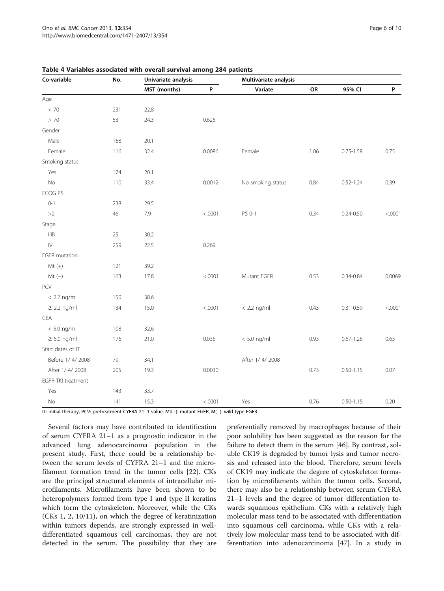| Co-variable          | No. | Univariate analysis |         | Multivariate analysis |      |               |         |  |
|----------------------|-----|---------------------|---------|-----------------------|------|---------------|---------|--|
|                      |     | MST (months)        | P       | Variate               | OR   | 95% CI        | P       |  |
| Age                  |     |                     |         |                       |      |               |         |  |
| < 70                 | 231 | 22.8                |         |                       |      |               |         |  |
| > 70                 | 53  | 24.3                | 0.625   |                       |      |               |         |  |
| Gender               |     |                     |         |                       |      |               |         |  |
| Male                 | 168 | 20.1                |         |                       |      |               |         |  |
| Female               | 116 | 32.4                | 0.0086  | Female                | 1.06 | $0.75 - 1.58$ | 0.75    |  |
| Smoking status       |     |                     |         |                       |      |               |         |  |
| Yes                  | 174 | 20.1                |         |                       |      |               |         |  |
| No                   | 110 | 33.4                | 0.0012  | No smoking status     | 0.84 | $0.52 - 1.24$ | 0.39    |  |
| ECOG PS              |     |                     |         |                       |      |               |         |  |
| $0 - 1$              | 238 | 29.5                |         |                       |      |               |         |  |
| >2                   | 46  | 7.9                 | < .0001 | PS 0-1                | 0.34 | $0.24 - 0.50$ | < .0001 |  |
| Stage                |     |                     |         |                       |      |               |         |  |
| IIIB                 | 25  | 30.2                |         |                       |      |               |         |  |
| $\overline{N}$       | 259 | 22.5                | 0.269   |                       |      |               |         |  |
| <b>EGFR</b> mutation |     |                     |         |                       |      |               |         |  |
| $Mt (+)$             | 121 | 39.2                |         |                       |      |               |         |  |
| $Mt(-)$              | 163 | 17.8                | < .0001 | Mutant EGFR           | 0.53 | $0.34 - 0.84$ | 0.0069  |  |
| PCV                  |     |                     |         |                       |      |               |         |  |
| $< 2.2$ ng/ml        | 150 | 38.6                |         |                       |      |               |         |  |
| $\geq$ 2.2 ng/ml     | 134 | 15.0                | < .0001 | $< 2.2$ ng/ml         | 0.43 | $0.31 - 0.59$ | < .0001 |  |
| CEA                  |     |                     |         |                       |      |               |         |  |
| $< 5.0$ ng/ml        | 108 | 32.6                |         |                       |      |               |         |  |
| $\geq$ 5.0 ng/ml     | 176 | 21.0                | 0.036   | $< 5.0$ ng/ml         | 0.93 | $0.67 - 1.26$ | 0.63    |  |
| Start dates of IT    |     |                     |         |                       |      |               |         |  |
| Before 1/4/2008      | 79  | 34.1                |         | After 1/4/2008        |      |               |         |  |
| After 1/4/2008       | 205 | 19.3                | 0.0030  |                       | 0.73 | $0.50 - 1.15$ | 0.07    |  |
| EGFR-TKI treatment   |     |                     |         |                       |      |               |         |  |
| Yes                  | 143 | 33.7                |         |                       |      |               |         |  |
| $\rm No$             | 141 | 15.3                | < .0001 | Yes                   | 0.76 | $0.50 - 1.15$ | 0.20    |  |

<span id="page-5-0"></span>Table 4 Variables associated with overall survival among 284 patients

IT: initial therapy, PCV: pretreatment CYFRA 21–1 value, Mt(+): mutant EGFR, M(−): wild-type EGFR.

Several factors may have contributed to identification of serum CYFRA 21–1 as a prognostic indicator in the advanced lung adenocarcinoma population in the present study. First, there could be a relationship between the serum levels of CYFRA 21–1 and the microfilament formation trend in the tumor cells [[22](#page-8-0)]. CKs are the principal structural elements of intracellular microfilaments. Microfilaments have been shown to be heteropolymers formed from type I and type II keratins which form the cytoskeleton. Moreover, while the CKs (CKs 1, 2, 10/11), on which the degree of keratinization within tumors depends, are strongly expressed in welldifferentiated squamous cell carcinomas, they are not detected in the serum. The possibility that they are

preferentially removed by macrophages because of their poor solubility has been suggested as the reason for the failure to detect them in the serum [\[46\]](#page-8-0). By contrast, soluble CK19 is degraded by tumor lysis and tumor necrosis and released into the blood. Therefore, serum levels of CK19 may indicate the degree of cytoskeleton formation by microfilaments within the tumor cells. Second, there may also be a relationship between serum CYFRA 21–1 levels and the degree of tumor differentiation towards squamous epithelium. CKs with a relatively high molecular mass tend to be associated with differentiation into squamous cell carcinoma, while CKs with a relatively low molecular mass tend to be associated with differentiation into adenocarcinoma [\[47](#page-8-0)]. In a study in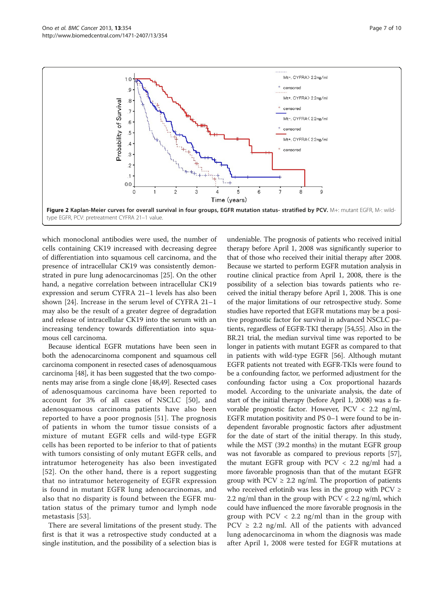<span id="page-6-0"></span>

which monoclonal antibodies were used, the number of cells containing CK19 increased with decreasing degree of differentiation into squamous cell carcinoma, and the presence of intracellular CK19 was consistently demonstrated in pure lung adenocarcinomas [[25](#page-8-0)]. On the other hand, a negative correlation between intracellular CK19 expression and serum CYFRA 21–1 levels has also been shown [[24\]](#page-8-0). Increase in the serum level of CYFRA 21–1 may also be the result of a greater degree of degradation and release of intracellular CK19 into the serum with an increasing tendency towards differentiation into squamous cell carcinoma.

Because identical EGFR mutations have been seen in both the adenocarcinoma component and squamous cell carcinoma component in resected cases of adenosquamous carcinoma [[48](#page-8-0)], it has been suggested that the two components may arise from a single clone [[48,49\]](#page-8-0). Resected cases of adenosquamous carcinoma have been reported to account for 3% of all cases of NSCLC [[50\]](#page-8-0), and adenosquamous carcinoma patients have also been reported to have a poor prognosis [\[51\]](#page-8-0). The prognosis of patients in whom the tumor tissue consists of a mixture of mutant EGFR cells and wild-type EGFR cells has been reported to be inferior to that of patients with tumors consisting of only mutant EGFR cells, and intratumor heterogeneity has also been investigated [[52](#page-9-0)]. On the other hand, there is a report suggesting that no intratumor heterogeneity of EGFR expression is found in mutant EGFR lung adenocarcinomas, and also that no disparity is found between the EGFR mutation status of the primary tumor and lymph node metastasis [\[53](#page-9-0)].

There are several limitations of the present study. The first is that it was a retrospective study conducted at a single institution, and the possibility of a selection bias is

undeniable. The prognosis of patients who received initial therapy before April 1, 2008 was significantly superior to that of those who received their initial therapy after 2008. Because we started to perform EGFR mutation analysis in routine clinical practice from April 1, 2008, there is the possibility of a selection bias towards patients who received the initial therapy before April 1, 2008. This is one of the major limitations of our retrospective study. Some studies have reported that EGFR mutations may be a positive prognostic factor for survival in advanced NSCLC patients, regardless of EGFR-TKI therapy [[54,55\]](#page-9-0). Also in the BR.21 trial, the median survival time was reported to be longer in patients with mutant EGFR as compared to that in patients with wild-type EGFR [[56\]](#page-9-0). Although mutant EGFR patients not treated with EGFR-TKIs were found to be a confounding factor, we performed adjustment for the confounding factor using a Cox proportional hazards model. According to the univariate analysis, the date of start of the initial therapy (before April 1, 2008) was a favorable prognostic factor. However, PCV < 2.2 ng/ml, EGFR mutation positivity and PS 0–1 were found to be independent favorable prognostic factors after adjustment for the date of start of the initial therapy. In this study, while the MST (39.2 months) in the mutant EGFR group was not favorable as compared to previous reports [[57](#page-9-0)], the mutant EGFR group with PCV < 2.2 ng/ml had a more favorable prognosis than that of the mutant EGFR group with  $PCV \geq 2.2$  ng/ml. The proportion of patients who received erlotinib was less in the group with  $PCV \geq$ 2.2 ng/ml than in the group with PCV < 2.2 ng/ml, which could have influenced the more favorable prognosis in the group with PCV < 2.2 ng/ml than in the group with  $PCV \geq 2.2$  ng/ml. All of the patients with advanced lung adenocarcinoma in whom the diagnosis was made after April 1, 2008 were tested for EGFR mutations at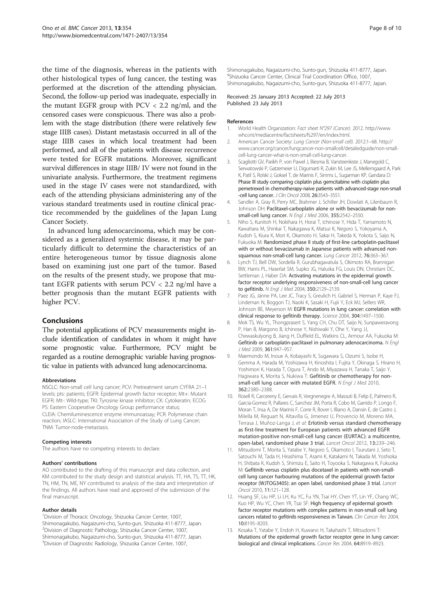<span id="page-7-0"></span>the time of the diagnosis, whereas in the patients with other histological types of lung cancer, the testing was performed at the discretion of the attending physician. Second, the follow-up period was inadequate, especially in the mutant EGFR group with PCV < 2.2 ng/ml, and the censored cases were conspicuous. There was also a problem with the stage distribution (there were relatively few stage IIIB cases). Distant metastasis occurred in all of the stage IIIB cases in which local treatment had been performed, and all of the patients with disease recurrence were tested for EGFR mutations. Moreover, significant survival differences in stage IIIB/ IV were not found in the univariate analysis. Furthermore, the treatment regimens used in the stage IV cases were not standardized, with each of the attending physicians administering any of the various standard treatments used in routine clinical practice recommended by the guidelines of the Japan Lung Cancer Society.

In advanced lung adenocarcinoma, which may be considered as a generalized systemic disease, it may be particularly difficult to determine the characteristics of an entire heterogeneous tumor by tissue diagnosis alone based on examining just one part of the tumor. Based on the results of the present study, we propose that mutant EGFR patients with serum PCV < 2.2 ng/ml have a better prognosis than the mutant EGFR patients with higher PCV.

## Conclusions

The potential applications of PCV measurements might include identification of candidates in whom it might have some prognostic value. Furthermore, PCV might be regarded as a routine demographic variable having prognostic value in patients with advanced lung adenocarcinoma.

## Abbreviations

NSCLC: Non-small cell lung cancer; PCV: Pretreatment serum CYFRA 21–1 levels; pts: patients; EGFR: Epidermal growth factor receptor; Mt+: Mutant EGFR; Mt-: Wild-type; TKI: Tyrosine kinase inhibitor; CK: Cytokeratin; ECOG PS: Eastern Cooperative Oncology Group performance status; CLEIA: Chemiluminescence enzyme immunoassay; PCR: Polymerase chain reaction; IASLC: International Association of the Study of Lung Cancer; TNM: Tumor-node-metastasis.

### Competing interests

The authors have no competing interests to declare.

### Authors' contributions

AO contributed to the drafting of this manuscript and data collection, and KM contributed to the study design and statistical analysis. TT, HA, TS, TT, HK, TN, HM, TN, ME, NY contributed to analysis of the data and interpretation of the findings. All authors have read and approved of the submission of the final manuscript.

## Author details

<sup>1</sup> Division of Thoracic Oncology, Shizuoka Cancer Center, 1007, Shimonagakubo, Nagaizumi-cho, Sunto-gun, Shizuoka 411-8777, Japan. 2 Division of Diagnostic Pathology, Shizuoka Cancer Center, 1007, Shimonagakubo, Nagaizumi-cho, Sunto-gun, Shizuoka 411-8777, Japan. 3 Division of Diagnostic Radiology, Shizuoka Cancer Center, 1007,

Shimonagakubo, Nagaizumi-cho, Sunto-gun, Shizuoka 411-8777, Japan. 4 Shizuoka Cancer Center, Clinical Trial Coordination Office, 1007, Shimonagakubo, Nagaizumi-cho, Sunto-gun, Shizuoka 411-8777, Japan.

#### Received: 25 January 2013 Accepted: 22 July 2013 Published: 23 July 2013

## References

- 1. World Health Organization: Fact sheet N°297 (Cancer). 2012. [http://www.](http://www.who.int/mediacentre/factsheets/fs297/en/index.html) [who.int/mediacentre/factsheets/fs297/en/index.html](http://www.who.int/mediacentre/factsheets/fs297/en/index.html).
- 2. American Cancer Society: Lung Cancer (Non-small cell). 2012:1–68. [http://](http://www.cancer.org/cancer/lungcancer-non-smallcell/detailedguide/non-small-cell-lung-cancer-what-is-non-small-cell-lung-cancer) [www.cancer.org/cancer/lungcancer-non-smallcell/detailedguide/non-small](http://www.cancer.org/cancer/lungcancer-non-smallcell/detailedguide/non-small-cell-lung-cancer-what-is-non-small-cell-lung-cancer)[cell-lung-cancer-what-is-non-small-cell-lung-cancer.](http://www.cancer.org/cancer/lungcancer-non-smallcell/detailedguide/non-small-cell-lung-cancer-what-is-non-small-cell-lung-cancer)
- 3. Scagliotti GV, Parikh P, von Pawel J, Biesma B, Vansteenkiste J, Manegold C, Serwatowski P, Gatzemeier U, Digumarti R, Zukin M, Lee JS, Mellemgaard A, Park K, Patil S, Rolski J, Goksel T, de Marinis F, Simms L, Sugarman KP, Gandara D: Phase III study comparing cisplatin plus gemcitabine with cisplatin plus pemetrexed in chemotherapy-naive patients with advanced-stage non-small -cell lung cancer. J Clin Oncol 2008, 26:3543–3551.
- 4. Sandler A, Gray R, Perry MC, Brahmer J, Schiller JH, Dowlati A, Lilenbaum R, Johnson DH: Paclitaxel-carboplatin alone or with bevacizumab for nonsmall-cell lung cancer. N Engl J Med 2006, 355:2542–2550.
- 5. Niho S, Kunitoh H, Nokihara H, Horai T, Ichinose Y, Hida T, Yamamoto N, Kawahara M, Shinkai T, Nakagawa K, Matsui K, Negoro S, Yokoyama A, Kudoh S, Kiura K, Mori K, Okamoto H, Sakai H, Takeda K, Yokota S, Saijo N, Fukuoka M: Randomized phase II study of first-line carboplatin-paclitaxel with or without bevacizumab in Japanese patients with advanced nonsquamous non-small-cell lung cancer. Lung Cancer 2012, 76:363–367.
- 6. Lynch TJ, Bell DW, Sordella R, Gurubhagavatula S, Okimoto RA, Brannigan BW, Harris PL, Haserlat SM, Supko JG, Haluska FG, Louis DN, Christiani DC, Settleman J, Haber DA: Activating mutations in the epidermal growth factor receptor underlying responsiveness of non-small-cell lung cancer to gefitinib. N Engl J Med 2004, 350:2129–2139.
- 7. Paez JG, Jänne PA, Lee JC, Tracy S, Greulich H, Gabriel S, Herman P, Kaye FJ, Lindeman N, Boggon TJ, Naoki K, Sasaki H, Fujii Y, Eck MJ, Sellers WR, Johnson BE, Meyerson M: EGFR mutations in lung cancer: correlation with clinical response to gefitinib therapy. Science 2004, 304:1497–1500.
- 8. Mok TS, Wu YL, Thongprasert S, Yang CH, Chu DT, Saijo N, Sunpaweravong P, Han B, Margono B, Ichinose Y, Nishiwaki Y, Ohe Y, Yang JJ, Chewaskulyong B, Jiang H, Duffield EL, Watkins CL, Armour AA, Fukuoka M: Gefitinib or carboplatin-paclitaxel in pulmonary adenocarcinoma. N Engl J Med 2009, 361:947–957.
- 9. Maemondo M, Inoue A, Kobayashi K, Sugawara S, Oizumi S, Isobe H, Gemma A, Harada M, Yoshizawa H, Kinoshita I, Fujita Y, Okinaga S, Hirano H, Yoshimori K, Harada T, Ogura T, Ando M, Miyazawa H, Tanaka T, Saijo Y, Hagiwara K, Morita S, Nukiwa T: Gefitinib or chemotherapy for nonsmall-cell lung cancer with mutated EGFR. N Engl J Med 2010, 362:2380–2388.
- 10. Rosell R, Carcereny E, Gervais R, Vergnenegre A, Massuti B, Felip E, Palmero R, Garcia-Gomez R, Pallares C, Sanchez JM, Porta R, Cobo M, Garrido P, Longo F, Moran T, Insa A, De Marinis F, Corre R, Bover I, Illiano A, Dansin E, de Castro J, Milella M, Reguart N, Altavilla G, Jimenez U, Provencio M, Moreno MA, Terrasa J, Muñoz-Langa J, et al: Erlotinib versus standard chemotherapy as first-line treatment for European patients with advanced EGFR mutation-positive non-small-cell lung cancer (EURTAC): a multicentre, open-label, randomised phase 3 trial. Lancet Oncol 2012, 13:239–246.
- 11. Mitsudomi T, Morita S, Yatabe Y, Negoro S, Okamoto I, Tsurutani J, Seto T, Satouchi M, Tada H, Hirashima T, Asami K, Katakami N, Takada M, Yoshioka H, Shibata K, Kudoh S, Shimizu E, Saito H, Toyooka S, Nakagawa K, Fukuoka M: Gefitinib versus cisplatin plus docetaxel in patients with non-smallcell lung cancer harbouring mutations of the epidermal growth factor receptor (WJTOG3405): an open label, randomised phase 3 trial. Lancet Oncol 2010, 11:121–128.
- 12. Huang SF, Liu HP, Li LH, Ku YC, Fu YN, Tsai HY, Chen YT, Lin YF, Chang WC, Kuo HP, Wu YC, Chen YR, Tsai SF: High frequency of epidermal growth factor receptor mutations with complex patterns in non-small cell lung cancers related to gefitinib responsiveness in Taiwan. Clin Cancer Res 2004, 10:8195–8203.
- 13. Kosaka T, Yatabe Y, Endoh H, Kuwano H, Takahashi T, Mitsudomi T: Mutations of the epidermal growth factor receptor gene in lung cancer: biological and clinical implications. Cancer Res 2004, 64:8919–8923.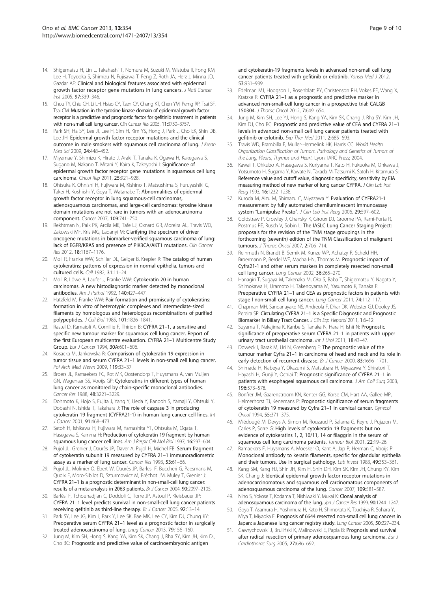- <span id="page-8-0"></span>14. Shigematsu H, Lin L, Takahashi T, Nomura M, Suzuki M, Wistuba II, Fong KM, Lee H, Toyooka S, Shimizu N, Fujisawa T, Feng Z, Roth JA, Herz J, Minna JD, Gazdar AF: Clinical and biological features associated with epidermal growth factor receptor gene mutations in lung cancers. J Natl Cancer Inst 2005, 97:339–346.
- 15. Chou TY, Chiu CH, Li LH, Hsiao CY, Tzen CY, Chang KT, Chen YM, Perng RP, Tsai SF, Tsai CM: Mutation in the tyrosine kinase domain of epidermal growth factor receptor is a predictive and prognostic factor for gefitinib treatment in patients with non-small cell lung cancer. Clin Cancer Res 2005, 11:3750–3757.
- 16. Park SH, Ha SY, Lee JI, Lee H, Sim H, Kim YS, Hong J, Park J, Cho EK, Shin DB, Lee JH: Epidermal growth factor receptor mutations and the clinical outcome in male smokers with squamous cell carcinoma of lung. *J Krean* Med Sci 2009, 24:448–452.
- 17. Miyamae Y, Shimizu K, Hirato J, Araki T, Tanaka K, Ogawa H, Kakegawa S, Sugano M, Nakano T, Mitani Y, Kaira K, Takeyoshi I: Significance of epidermal growth factor receptor gene mutations in squamous cell lung carcinoma. Oncol Rep 2011, 25:921–928.
- 18. Ohtsuka K, Ohnishi H, Fujiwara M, Kishino T, Matsushima S, Furuyashiki G, Takei H, Koshiishi Y, Goya T, Watanabe T: Abnormalities of epidermal growth factor receptor in lung squamous-cell carcinomas, adenosquamous carcinomas, and large-cell carcinomas: tyrosine kinase domain mutations are not rare in tumors with an adenocarcinoma component. Cancer 2007, 109:741–750.
- 19. Rekhtman N, Paik PK, Arcila ME, Tafe LJ, Oxnard GR, Moreira AL, Travis WD, Zakowski MF, Kris MG, Ladanyi M: Clarifying the spectrum of driver oncogene mutations in biomarker-verified squamous carcinoma of lung: lack of EGFR/KRAS and presence of PIK3CA/AKT1 mutations. Clin Cancer Res 2012, 18:1167–1176.
- 20. Moll R, Franke WW, Schiller DL, Geiger B, Krepler R: The catalog of human cytokeratins: patterns of expression in normal epithelia, tumors and cultured cells. Cell 1982, 31:11–24.
- 21. Moll R, Löwe A, Laufer J, Franke WW: Cytokeratin 20 in human carcinomas. A new histodiagnostic marker detected by monoclonal antibodies. Am J Pathol 1992, 140:427–447.
- 22. Hatzfeld M, Franke WW: Pair formation and promiscuity of cytokeratins: formation in vitro of heterotypic complexes and intermediate-sized filaments by homologous and heterologous recombinations of purified polypeptides. J Cell Biol 1985, 101:1826–1841.
- 23. Rastel D, Ramaioli A, Cornillie F, Thirion B: CYFRA 21–1, a sensitive and specific new tumour marker for squamous cell lung cancer. Report of the first European multicentre evaluation. CYFRA 21–1 Multicentre Study Group. Eur J Cancer 1994, 30A:601–606.
- 24. Kosacka M, Jankowska R: Comparison of cytokeratin 19 expression in tumor tissue and serum CYFRA 21–1 levels in non-small cell lung cancer. Pol Arch Med Wewn 2009, 119:33–37.
- 25. Broers JL, Ramaekers FC, Rot MK, Oostendorp T, Huysmans A, van Muijen GN, Wagenaar SS, Vooijs GP: Cytokeratins in different types of human lung cancer as monitored by chain-specific monoclonal antibodies. Cancer Res 1988, 48:3221–3229.
- 26. Dohmoto K, Hojo S, Fujita J, Yang Y, Ueda Y, Bandoh S, Yamaji Y, Ohtsuki Y, Dobashi N, Ishida T, Takahara J: The role of caspase 3 in producing cytokeratin 19 fragment (CYFRA21-1) in human lung cancer cell lines. Int J Cancer 2001, 91:468–473.
- 27. Satoh H, Ishikawa H, Fujiwara M, Yamashita YT, Ohtsuka M, Ogata T, Hasegawa S, Kamma H: Production of cytokeratin 19 fragment by human squamous lung cancer cell lines. Am J Respir Cell Mol Biol 1997, 16:597-604.
- 28. Pujol JL, Grenier J, Daurès JP, Daver A, Pujol H, Michel FB: Serum fragment of cytokeratin subunit 19 measured by CYFRA 21–1 immunoradiometric assay as a marker of lung cancer. Cancer Res 1993, 53:61-66.
- 29. Pujol JL, Molinier O, Ebert W, Daurès JP, Barlesi F, Buccheri G, Paesmans M, Quoix E, Moro-Sibilot D, Szturmowicz M, Bréchot JM, Muley T, Grenier J: CYFRA 21–1 is a prognostic determinant in non-small-cell lung cancer: results of a meta-analysis in 2063 patients. Br J Cancer 2004, 90:2097–2105.
- 30. Barlési F, Tchouhadjian C, Doddoli C, Torre JP, Astoul P, Kleisbauer JP: CYFRA 21–1 level predicts survival in non-small-cell lung cancer patients receiving gefitinib as third-line therapy. Br J Cancer 2005, 92:13–14.
- 31. Park SY, Lee JG, Kim J, Park Y, Lee SK, Bae MK, Lee CY, Kim DJ, Chung KY: Preoperative serum CYFRA 21–1 level as a prognostic factor in surgically treated adenocarcinoma of lung. Lnug Cancer 2013, 79:156-160.
- 32. Jung M, Kim SH, Hong S, Kang YA, Kim SK, Chang J, Rha SY, Kim JH, Kim DJ, Cho BC: Prognostic and predictive value of carcinoembryonic antigen

and cytokeratin-19 fragments levels in advanced non-small cell lung cancer patients treated with gefitinib or erlotinib. Yonsei Med J 2012, 53:931–939.

- 33. Edelman MJ, Hodgson L, Rosenblatt PY, Christenson RH, Vokes EE, Wang X, Kratzke R: CYFRA 21–1 as a prognostic and predictive marker in advanced non-small-cell lung cancer in a prospective trial: CALGB 150304. J Thorac Oncol 2012, 7:649–654.
- 34. Jung M, Kim SH, Lee YJ, Hong S, Kang YA, Kim SK, Chang J, Rha SY, Kim JH, Kim DJ, Cho BC: Prognostic and predictive value of CEA and CYFRA 21–1 levels in advanced non-small cell lung cancer patients treated with gefitinib or erlotinib. Exp Ther Med 2011, 2:685–693.
- 35. Travis WD, Brambilla E, Muller-Hermelink HK, Harris CC: World Health Organization Classification of Tumors. Pathology and Genetics of Tumors of the Lung, Pleura, Thymus and Heart. Lyon: IARC Press; 2004.
- 36. Kawai T, Ohkubo A, Hasegawa S, Kuriyama T, Kato H, Fukuoka M, Ohkawa J, Yotsumoto H, Sugama Y, Kawate N, Takada M, Tatsumi K, Satoh H, Kitamura S: Reference value and cutoff value, diagnostic specificity, sensitivity by EIA measuring method of new marker of lung cancer CYFRA. J Clin Lab Inst Reag 1993, 16:1232–1238.
- 37. Kuroda M, Aizu M, Shimazu C, Miyazawa Y: Evaluation of CYFRA21-1 measurement by fully automated chemiluminescent immunoassay system "Lumipulse Presto". J Clin Lab Inst Reag 2006, 29:597-602.
- 38. Goldstraw P, Crowley J, Chansky K, Giroux DJ, Groome PA, Rami-Porta R, Postmus PE, Rusch V, Sobin L: The IASLC Lung Cancer Staging Project: proposals for the revision of the TNM stage groupings in the forthcoming (seventh) edition of the TNM Classification of malignant tumours. J Thorac Oncol 2007, 2:706–714.
- 39. Reinmuth N, Brandt B, Semik M, Kunze WP, Achatzy R, Scheld HH, Broermann P, Berdel WE, Macha HN, Thomas M: Prognostic impact of Cyfra21-1 and other serum markers in completely resected non-small cell lung cancer. Lung Cancer 2002, 36:265–270.
- Hanagiri T, Sugaya M, Takenaka M, Oka S, Baba T, Shigematsu Y, Nagata Y, Shimokawa H, Uramoto H, Takenoyama M, Yasumoto K, Tanaka F: Preoperative CYFRA 21–1 and CEA as prognostic factors in patients with stage I non-small cell lung cancer. Lung Cancer 2011, 74:112–117.
- 41. Chapman MH, Sandanayake NS, Andreola F, Dhar DK, Webster GJ, Dooley JS, Pereira SP: Circulating CYFRA 21–1 is a Specific Diagnostic and Prognostic Biomarker in Biliary Tract Cancer. J Clin Exp Hepatol 2011, 1:6-12.
- Suyama T, Nakajima K, Kanbe S, Tanaka N, Hara H, Ishii N: Prognostic significance of preoperative serum CYFRA 21–1 in patients with upper urinary tract urothelial carcinoma. Int J Urol 2011, 18:43-47.
- 43. Doweck I, Barak M, Uri N, Greenberg E: The prognostic value of the tumour marker Cyfra 21–1 in carcinoma of head and neck and its role in early detection of recurrent disease. Br J Cancer 2000, 83:1696-1701.
- 44. Shimada H, Nabeya Y, Okazumi S, Matsubara H, Miyazawa Y, Shiratori T, Hayashi H, Gunji Y, Ochiai T: Prognostic significance of CYFRA 21–1 in patients with esophageal squamous cell carcinoma. J Am Coll Surg 2003, 196:573–578.
- 45. Bonfrer JM, Gaarenstroom KN, Kenter GG, Korse CM, Hart AA, Gallee MP, Helmerhorst TJ, Kenemans P: Prognostic significance of serum fragments of cytokeratin 19 measured by Cyfra 21–1 in cervical cancer. Gynecol Oncol 1994, 55:371–375.
- 46. Miédougé M, Devys A, Simon M, Rouzaud P, Salama G, Reyre J, Pujazon M, Carles P, Serre G: High levels of cytokeratin 19 fragments but no evidence of cytokeratins 1, 2, 10/11, 14 or filaggrin in the serum of squamous cell lung carcinoma patients. Tumour Biol 2001, 22:19–26.
- 47. Ramaekers F, Huysmans A, Moesker O, Kant A, Jap P, Herman C, Vooijs P: Monoclonal antibody to keratin filaments, specific for glandular epithelia and their tumors. Use in surgical pathology. Lab Invest 1983, 49:353-361.
- 48. Kang SM, Kang HJ, Shin JH, Kim H, Shin DH, Kim SK, Kim JH, Chung KY, Kim SK, Chang J: Identical epidermal growth factor receptor mutations in adenocarcinomatous and squamous cell carcinomatous components of adenosquamous carcinoma of the lung. Cancer 2007, 109:581–587.
- 49. Niho S, Yokose T, Kodama T, Nishiwaki Y, Mukai K: Clonal analysis of adenosquamous carcinoma of the lung. Jpn J Cancer Res 1999, 90:1244-1247.
- 50. Goya T, Asamura H, Yoshimura H, Kato H, Shimokata K, Tsuchiya R, Sohara Y, Miya T, Miyaoka E: Prognosis of 6644 resected non-small cell lung cancers in Japan: a Japanese lung cancer registry study. Lung Cancer 2005, 50:227-234.
- 51. Gawrychowski J, Bruliński K, Malinowski E, Papla B: Prognosis and survival after radical resection of primary adenosquamous lung carcinoma. Eur J Cardiothorac Surg 2005, 27:686–692.